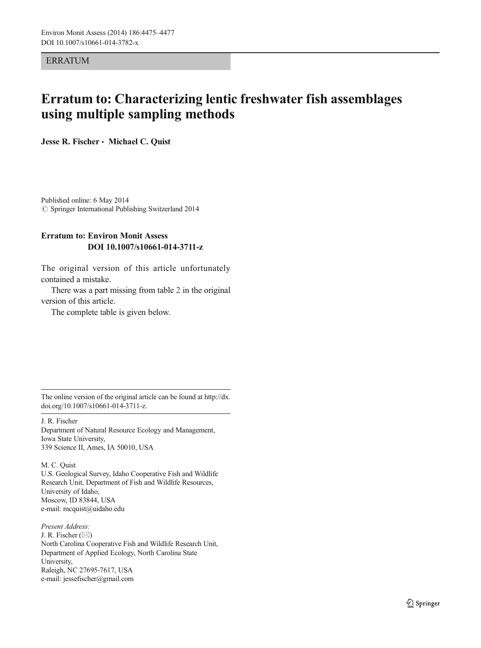**ERRATUM** 

## Erratum to: Characterizing lentic freshwater fish assemblages using multiple sampling methods

Jesse R. Fischer · Michael C. Quist

Published online: 6 May 2014  $\oslash$  Springer International Publishing Switzerland 2014

## Erratum to: Environ Monit Assess DOI 10.1007/s10661-014-3711-z

The original version of this article unfortunately contained a mistake.

There was a part missing from table [2](#page-1-0) in the original version of this article.

The complete table is given below.

The online version of the original article can be found at [http://dx.](http://dx.doi.org/10.1007/s10661-014-3711-z) [doi.org/10.1007/s10661-014-3711-z](http://dx.doi.org/10.1007/s10661-014-3711-z).

J. R. Fischer

Department of Natural Resource Ecology and Management, Iowa State University, 339 Science II, Ames, IA 50010, USA

M. C. Quist U.S. Geological Survey, Idaho Cooperative Fish and Wildlife Research Unit, Department of Fish and Wildlife Resources, University of Idaho, Moscow, ID 83844, USA e-mail: mcquist@uidaho.edu

Present Address: J. R. Fischer  $(\boxtimes)$ North Carolina Cooperative Fish and Wildlife Research Unit, Department of Applied Ecology, North Carolina State University, Raleigh, NC 27695-7617, USA e-mail: jessefischer@gmail.com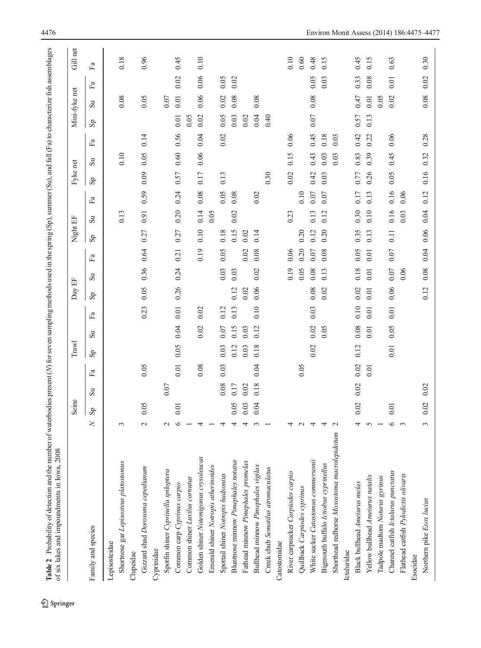<span id="page-1-0"></span>

|                                             |         | Seine          |              |                           | Trawl |                     |      | Day                     | 出            |                           | Night                     | $\mathbb{H}$ |         | Fyke net                  |              |      |                         | Mini-fyke net |                           | Gill net |
|---------------------------------------------|---------|----------------|--------------|---------------------------|-------|---------------------|------|-------------------------|--------------|---------------------------|---------------------------|--------------|---------|---------------------------|--------------|------|-------------------------|---------------|---------------------------|----------|
| Family and species                          | z       | s <sub>p</sub> | $\mathbf{s}$ | $\mathbb{E}^{\mathbf{a}}$ | Sp    | $\overline{\rm su}$ | Fa   | $\mathbf{s}_\mathbf{p}$ | $\mathbf{s}$ | $\mathbb{F}^{\mathbf{a}}$ | $\mathbf{S}_{\mathbf{D}}$ | $\mathbf{s}$ | Еã      | $\mathbf{S}_{\mathbf{p}}$ | $\mathbf{s}$ | Fa   | $\mathbf{s}_\mathbf{p}$ | $\mathbf{s}$  | $\mathbb{F}^{\mathbf{a}}$ | Еã       |
| Lepisosteidae                               |         |                |              |                           |       |                     |      |                         |              |                           |                           |              |         |                           |              |      |                         |               |                           |          |
| Shortnose gar Lepisosteus platostomus       | $\sim$  |                |              |                           |       |                     |      |                         |              |                           |                           | 0.13         |         |                           | 0.10         |      |                         | 0.08          |                           | 0.18     |
| Clupeidae                                   |         |                |              |                           |       |                     |      |                         |              |                           |                           |              |         |                           |              |      |                         |               |                           |          |
| Gizzard shad Dorosoma cepedianum            | $\sim$  | 0.05           |              | 0.05                      |       |                     | 0.23 | 0.05                    | 0.36         | 0.64                      | 0.27                      | 0.91         | 59<br>Ö | 0.09                      | 0.05         | 0.14 |                         | 0.05          |                           | 0.96     |
| Cyprinidae                                  |         |                |              |                           |       |                     |      |                         |              |                           |                           |              |         |                           |              |      |                         |               |                           |          |
| Spotfin shiner Cyprinella spiloptera        | $\sim$  |                | 0.07         |                           |       |                     |      |                         |              |                           |                           |              |         |                           |              |      |                         | 0.07          |                           |          |
| Common carp Cyprinus carpio                 | ৩       | 0.01           |              | 0.01                      | 0.05  | 0.04                | 0.01 | 0.26                    | 0.24         | 0.21                      | 0.27                      | 0.20         | 0.24    | 0.57                      | 0.60         | 0.56 | 0.01                    | 0.01          | 0.02                      | 0.45     |
| Common shiner Luxilus cornutus              |         |                |              |                           |       |                     |      |                         |              |                           |                           |              |         |                           |              |      | 0.05                    |               |                           |          |
| Golden shiner Notemigonus crysoleucas       |         |                |              | 0.08                      |       | 0.02                | 0.02 |                         |              | 0.19                      | 0.10                      | 0.14         | 0.08    | 0.17                      | 0.06         | 0.04 | 0.02                    | 0.06          | 0.06                      | 0.10     |
| Emerald shiner Notropis atherinoides        |         |                |              |                           |       |                     |      |                         |              |                           |                           | 0.05         |         |                           |              |      |                         |               |                           |          |
| Spottail shiner Notropis hudsonius          | 4       |                | 0.08         | 0.03                      | 0.03  | 0.07                | 0.12 |                         | 0.03         | 0.05                      | 0.18                      |              | 0.05    | 0.13                      |              | 0.02 | 0.05                    | 0.02          | 0.05                      |          |
| Bluntnose minnow Pimephales notatus         | 4       | 0.05           | 0.17         |                           | 0.12  | 0.15                | 0.13 | 0.12                    | 0.03         |                           | 0.15                      | 0.02         | 0.08    |                           |              |      | 0.03                    | 0.08          | 0.02                      |          |
| Fathead minnow Pimephales promelas          | 4       | 0.03           | 0.02         |                           | 0.03  | 0.03                |      | 0.02                    |              | 0.02                      | 0.02                      |              |         |                           |              |      | 0.02                    |               |                           |          |
| Bullhead minnow Pimephales vigilax          | $\sim$  | 0.04           | 0.18         | 0.04                      | 0.18  | 0.12                | 0.10 | 0.06                    | 0.02         | 0.08                      | 0.14                      |              | 0.02    |                           |              |      | 0.04                    | 0.08          |                           |          |
| Creek chub Semotilus atromaculatus          |         |                |              |                           |       |                     |      |                         |              |                           |                           |              |         | 0.30                      |              |      | 0.40                    |               |                           |          |
| Catostomidae                                |         |                |              |                           |       |                     |      |                         |              |                           |                           |              |         |                           |              |      |                         |               |                           |          |
| River carpsucker Carpiodes carpio           | 4       |                |              |                           |       |                     |      |                         | 0.19         | 0.06                      |                           | 0.23         |         | 0.02                      | 0.15         | 0.06 |                         |               |                           | 0.10     |
| Quillback Carpiodes cyprinus                | $\sim$  |                |              | 0.05                      |       |                     |      |                         | 0.05         | 0.20                      | 0.20                      |              | 0.10    |                           |              |      |                         |               |                           | 0.60     |
| White sucker Catostomus commersonii         | 4       |                |              |                           | 0.02  | 0.02                | 0.03 | 0.08                    | 0.08         | 0.07                      | 0.12                      | 0.13         | 0.07    | 0.42                      | 0.43         | 0.45 | 0.07                    | 0.08          | 0.05                      | 0.48     |
| Bigmouth buffalo Ictiobus cyprinellus       | 4       |                |              |                           |       | 0.05                |      | 0.02                    | 0.13         | 0.08                      | 0.20                      | 0.12         | 0.07    | 0.03                      | 0.03         | 0.18 |                         |               | 0.03                      | 0.15     |
| Shorthead redhorse Moxostoma macrolepidotum | $\sim$  |                |              |                           |       |                     |      |                         |              |                           |                           |              |         |                           | 0.03         | 0.03 |                         |               |                           |          |
| Ictaluridae                                 |         |                |              |                           |       |                     |      |                         |              |                           |                           |              |         |                           |              |      |                         |               |                           |          |
| Black bullhead Ameiurus melas               | 4       | 0.02           | 0.02         | 0.02                      | 0.12  | 0.08                | 0.10 | 0.02                    | 0.18         | 0.05                      | 0.35                      | 0.30         | 0.17    | 0.77                      | 0.83         | 0.42 | 0.57                    | 0.47          | 0.33                      | 0.45     |
| Yellow bullhead Ameiurus natalis            | $\sim$  |                |              | 0.01                      |       | 0.01                | 0.01 | 0.01                    | 0.01         | 0.01                      | 0.13                      | 0.10         | 0.13    | 0.26                      | 0.39         | 0.22 | 0.13                    | 0.01          | 0.08                      | 0.15     |
| Tadpole madtom Noturus gyrinus              |         |                |              |                           |       |                     |      |                         |              |                           |                           |              |         |                           |              |      |                         | 0.05          |                           |          |
| Channel catfish Ictalurus punctatus         | $\circ$ | 0.01           |              |                           | 0.01  | 0.05                | 0.01 | 0.06                    | 0.07         | 0.07                      | 0.11                      | 0.16         | 0.16    | 0.05                      | 0.45         | 0.06 |                         | 0.02          | 0.01                      | 0.63     |
| Flathead catfish Pylodictis olivaris        | $\sim$  |                |              |                           |       |                     |      |                         | 0.06         |                           |                           | 0.03         | 0.06    |                           |              |      |                         |               |                           |          |
| Esocidae                                    |         |                |              |                           |       |                     |      |                         |              |                           |                           |              |         |                           |              |      |                         |               |                           |          |
| Northern pike Esox lucius                   | 3       | 0.02           | 0.02         |                           |       |                     |      | 0.12                    | 0.08         | 0.04                      | 0.06                      | 0.04         | 0.12    | 0.16                      | 0.32         | 0.28 |                         | 0.08          | 0.02                      | 0.30     |